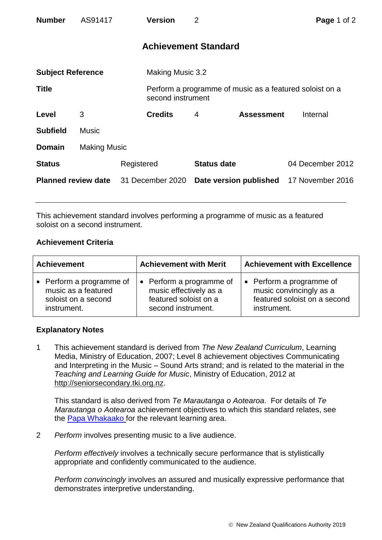| <b>Number</b>              | AS91417             |            | <b>Version</b>              | $\overline{2}$     |                                                         | Page 1 of 2      |  |
|----------------------------|---------------------|------------|-----------------------------|--------------------|---------------------------------------------------------|------------------|--|
|                            |                     |            | <b>Achievement Standard</b> |                    |                                                         |                  |  |
| <b>Subject Reference</b>   |                     |            | Making Music 3.2            |                    |                                                         |                  |  |
| <b>Title</b>               |                     |            | second instrument           |                    | Perform a programme of music as a featured soloist on a |                  |  |
| Level                      | 3                   |            | <b>Credits</b>              | $\overline{4}$     | <b>Assessment</b>                                       | Internal         |  |
| <b>Subfield</b>            | <b>Music</b>        |            |                             |                    |                                                         |                  |  |
| <b>Domain</b>              | <b>Making Music</b> |            |                             |                    |                                                         |                  |  |
| <b>Status</b>              |                     | Registered |                             | <b>Status date</b> |                                                         | 04 December 2012 |  |
| <b>Planned review date</b> |                     |            | 31 December 2020            |                    | Date version published                                  | 17 November 2016 |  |

This achievement standard involves performing a programme of music as a featured soloist on a second instrument.

## **Achievement Criteria**

| <b>Achievement</b>       | <b>Achievement with Merit</b> | <b>Achievement with Excellence</b> |  |
|--------------------------|-------------------------------|------------------------------------|--|
| • Perform a programme of | • Perform a programme of      | • Perform a programme of           |  |
| music as a featured      | music effectively as a        | music convincingly as a            |  |
| soloist on a second      | featured soloist on a         | featured soloist on a second       |  |
| instrument.              | second instrument.            | instrument.                        |  |

## **Explanatory Notes**

1 This achievement standard is derived from *The New Zealand Curriculum*, Learning Media, Ministry of Education, 2007; Level 8 achievement objectives Communicating and Interpreting in the Music – Sound Arts strand; and is related to the material in the *Teaching and Learning Guide for Music*, Ministry of Education, 2012 at [http://seniorsecondary.tki.org.nz.](http://seniorsecondary.tki.org.nz/)

This standard is also derived from *Te Marautanga o Aotearoa*. For details of *Te Marautanga o Aotearoa* achievement objectives to which this standard relates, see the [Papa Whakaako](http://tmoa.tki.org.nz/Te-Marautanga-o-Aotearoa/Taumata-Matauranga-a-Motu-Ka-Taea) for the relevant learning area.

2 *Perform* involves presenting music to a live audience.

*Perform effectively* involves a technically secure performance that is stylistically appropriate and confidently communicated to the audience.

*Perform convincingly* involves an assured and musically expressive performance that demonstrates interpretive understanding.